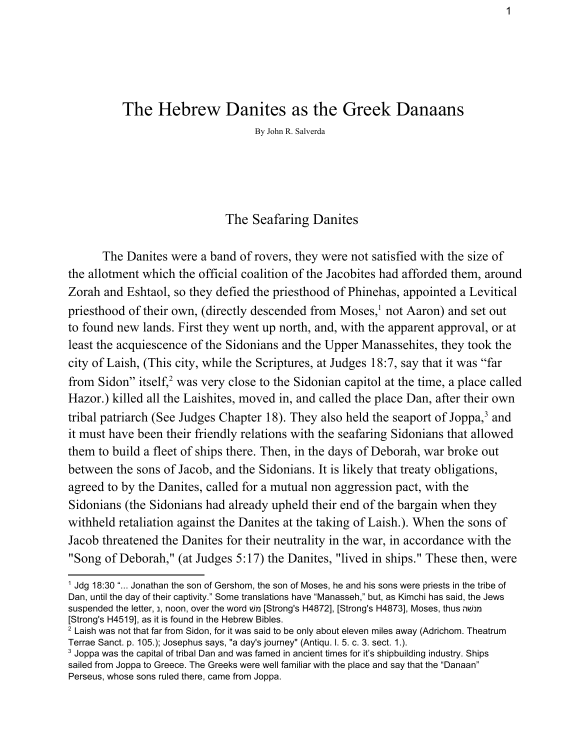# The Hebrew Danites as the Greek Danaans

By John R. Salverda

### The Seafaring Danites

The Danites were a band of rovers, they were not satisfied with the size of the allotment which the official coalition of the Jacobites had afforded them, around Zorah and Eshtaol, so they defied the priesthood of Phinehas, appointed a Levitical priesthood of their own, (directly descended from Moses,<sup>1</sup> not Aaron) and set out to found new lands. First they went up north, and, with the apparent approval, or at least the acquiescence of the Sidonians and the Upper Manassehites, they took the city of Laish, (This city, while the Scriptures, at Judges 18:7, say that it was "far from Sidon" itself,<sup>2</sup> was very close to the Sidonian capitol at the time, a place called Hazor.) killed all the Laishites, moved in, and called the place Dan, after their own tribal patriarch (See Judges Chapter 18). They also held the seaport of Joppa,<sup>3</sup> and it must have been their friendly relations with the seafaring Sidonians that allowed them to build a fleet of ships there. Then, in the days of Deborah, war broke out between the sons of Jacob, and the Sidonians. It is likely that treaty obligations, agreed to by the Danites, called for a mutual non aggression pact, with the Sidonians (the Sidonians had already upheld their end of the bargain when they withheld retaliation against the Danites at the taking of Laish.). When the sons of Jacob threatened the Danites for their neutrality in the war, in accordance with the "Song of Deborah," (at Judges 5:17) the Danites, "lived in ships." These then, were

 $^1$  Jdg 18:30 "... Jonathan the son of Gershom, the son of Moses, he and his sons were priests in the tribe of Dan, until the day of their captivity." Some translations have "Manasseh," but, as Kimchi has said, the Jews suspended the letter, ג, noon, over the word [Strong's H4872], [Strong's H4873], Moses, thus מנשה [Strong's H4519], as it is found in the Hebrew Bibles.

 $^2$  Laish was not that far from Sidon, for it was said to be only about eleven miles away (Adrichom. Theatrum Terrae Sanct. p. 105.); Josephus says, "a day's journey" (Antiqu. l. 5. c. 3. sect. 1.).

 $^3$  Joppa was the capital of tribal Dan and was famed in ancient times for it's shipbuilding industry. Ships sailed from Joppa to Greece. The Greeks were well familiar with the place and say that the "Danaan" Perseus, whose sons ruled there, came from Joppa.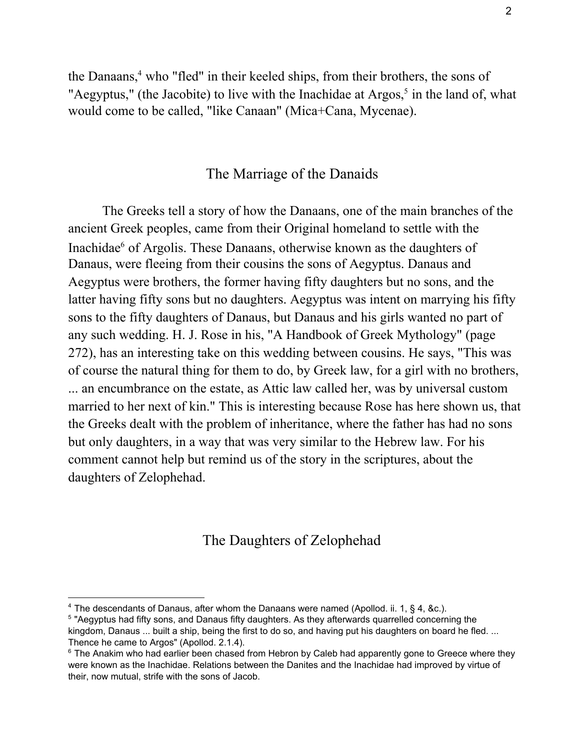the Danaans,<sup>4</sup> who "fled" in their keeled ships, from their brothers, the sons of "Aegyptus," (the Jacobite) to live with the Inachidae at Argos, $<sup>5</sup>$  in the land of, what</sup> would come to be called, "like Canaan" (Mica+Cana, Mycenae).

#### The Marriage of the Danaids

The Greeks tell a story of how the Danaans, one of the main branches of the ancient Greek peoples, came from their Original homeland to settle with the Inachidae<sup>6</sup> of Argolis. These Danaans, otherwise known as the daughters of Danaus, were fleeing from their cousins the sons of Aegyptus. Danaus and Aegyptus were brothers, the former having fifty daughters but no sons, and the latter having fifty sons but no daughters. Aegyptus was intent on marrying his fifty sons to the fifty daughters of Danaus, but Danaus and his girls wanted no part of any such wedding. H. J. Rose in his, "A Handbook of Greek Mythology" (page 272), has an interesting take on this wedding between cousins. He says, "This was of course the natural thing for them to do, by Greek law, for a girl with no brothers, ... an encumbrance on the estate, as Attic law called her, was by universal custom married to her next of kin." This is interesting because Rose has here shown us, that the Greeks dealt with the problem of inheritance, where the father has had no sons but only daughters, in a way that was very similar to the Hebrew law. For his comment cannot help but remind us of the story in the scriptures, about the daughters of Zelophehad.

The Daughters of Zelophehad

<sup>&</sup>lt;sup>4</sup> The descendants of Danaus, after whom the Danaans were named (Apollod. ii. 1, § 4, &c.).

<sup>&</sup>lt;sup>5</sup> "Aegyptus had fifty sons, and Danaus fifty daughters. As they afterwards quarrelled concerning the kingdom, Danaus ... built a ship, being the first to do so, and having put his daughters on board he fled. ... Thence he came to Argos" (Apollod. 2.1.4).

 $6$  The Anakim who had earlier been chased from Hebron by Caleb had apparently gone to Greece where they were known as the Inachidae. Relations between the Danites and the Inachidae had improved by virtue of their, now mutual, strife with the sons of Jacob.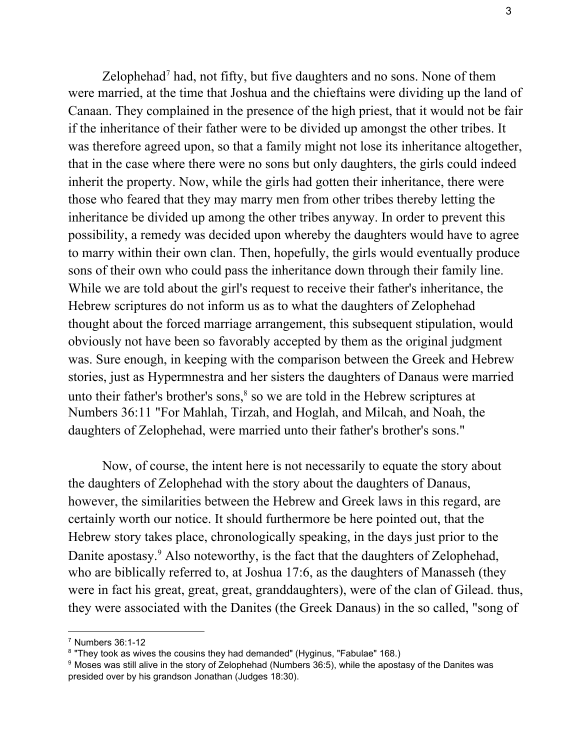Zelophehad<sup> $7$ </sup> had, not fifty, but five daughters and no sons. None of them were married, at the time that Joshua and the chieftains were dividing up the land of Canaan. They complained in the presence of the high priest, that it would not be fair if the inheritance of their father were to be divided up amongst the other tribes. It was therefore agreed upon, so that a family might not lose its inheritance altogether, that in the case where there were no sons but only daughters, the girls could indeed inherit the property. Now, while the girls had gotten their inheritance, there were those who feared that they may marry men from other tribes thereby letting the inheritance be divided up among the other tribes anyway. In order to prevent this possibility, a remedy was decided upon whereby the daughters would have to agree to marry within their own clan. Then, hopefully, the girls would eventually produce sons of their own who could pass the inheritance down through their family line. While we are told about the girl's request to receive their father's inheritance, the Hebrew scriptures do not inform us as to what the daughters of Zelophehad thought about the forced marriage arrangement, this subsequent stipulation, would obviously not have been so favorably accepted by them as the original judgment was. Sure enough, in keeping with the comparison between the Greek and Hebrew stories, just as Hypermnestra and her sisters the daughters of Danaus were married unto their father's brother's sons, $<sup>8</sup>$  so we are told in the Hebrew scriptures at</sup> Numbers 36:11 "For Mahlah, Tirzah, and Hoglah, and Milcah, and Noah, the daughters of Zelophehad, were married unto their father's brother's sons."

Now, of course, the intent here is not necessarily to equate the story about the daughters of Zelophehad with the story about the daughters of Danaus, however, the similarities between the Hebrew and Greek laws in this regard, are certainly worth our notice. It should furthermore be here pointed out, that the Hebrew story takes place, chronologically speaking, in the days just prior to the Danite apostasy.<sup>9</sup> Also noteworthy, is the fact that the daughters of Zelophehad, who are biblically referred to, at Joshua 17:6, as the daughters of Manasseh (they were in fact his great, great, great, granddaughters), were of the clan of Gilead. thus, they were associated with the Danites (the Greek Danaus) in the so called, "song of

 $7$  Numbers 36:1-12

<sup>&</sup>lt;sup>8</sup> "They took as wives the cousins they had demanded" (Hyginus, "Fabulae" 168.)

 $^9$  Moses was still alive in the story of Zelophehad (Numbers 36:5), while the apostasy of the Danites was presided over by his grandson Jonathan (Judges 18:30).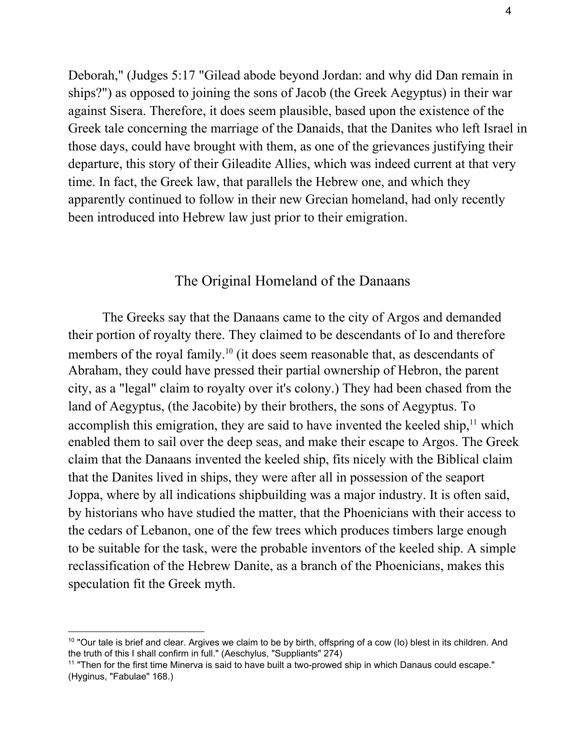Deborah," (Judges 5:17 "Gilead abode beyond Jordan: and why did Dan remain in ships?") as opposed to joining the sons of Jacob (the Greek Aegyptus) in their war against Sisera. Therefore, it does seem plausible, based upon the existence of the Greek tale concerning the marriage of the Danaids, that the Danites who left Israel in those days, could have brought with them, as one of the grievances justifying their departure, this story of their Gileadite Allies, which was indeed current at that very time. In fact, the Greek law, that parallels the Hebrew one, and which they apparently continued to follow in their new Grecian homeland, had only recently been introduced into Hebrew law just prior to their emigration.

# The Original Homeland of the Danaans

The Greeks say that the Danaans came to the city of Argos and demanded their portion of royalty there. They claimed to be descendants of Io and therefore members of the royal family.<sup>10</sup> (it does seem reasonable that, as descendants of Abraham, they could have pressed their partial ownership of Hebron, the parent city, as a "legal" claim to royalty over it's colony.) They had been chased from the land of Aegyptus, (the Jacobite) by their brothers, the sons of Aegyptus. To accomplish this emigration, they are said to have invented the keeled ship,  $\frac{11}{11}$  which enabled them to sail over the deep seas, and make their escape to Argos. The Greek claim that the Danaans invented the keeled ship, fits nicely with the Biblical claim that the Danites lived in ships, they were after all in possession of the seaport Joppa, where by all indications shipbuilding was a major industry. It is often said, by historians who have studied the matter, that the Phoenicians with their access to the cedars of Lebanon, one of the few trees which produces timbers large enough to be suitable for the task, were the probable inventors of the keeled ship. A simple reclassification of the Hebrew Danite, as a branch of the Phoenicians, makes this speculation fit the Greek myth.

 $10$  "Our tale is brief and clear. Argives we claim to be by birth, offspring of a cow (Io) blest in its children. And the truth of this I shall confirm in full." (Aeschylus, "Suppliants" 274)

 $11$  "Then for the first time Minerva is said to have built a two-prowed ship in which Danaus could escape." (Hyginus, "Fabulae" 168.)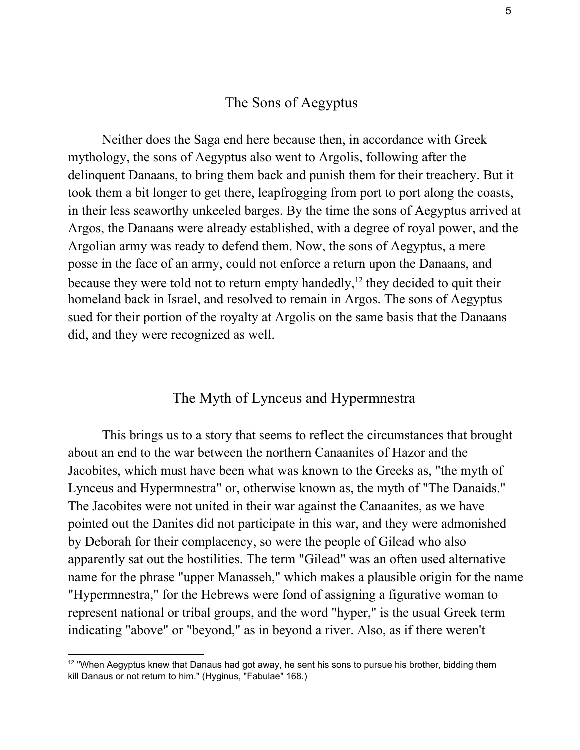#### The Sons of Aegyptus

Neither does the Saga end here because then, in accordance with Greek mythology, the sons of Aegyptus also went to Argolis, following after the delinquent Danaans, to bring them back and punish them for their treachery. But it took them a bit longer to get there, leapfrogging from port to port along the coasts, in their less seaworthy unkeeled barges. By the time the sons of Aegyptus arrived at Argos, the Danaans were already established, with a degree of royal power, and the Argolian army was ready to defend them. Now, the sons of Aegyptus, a mere posse in the face of an army, could not enforce a return upon the Danaans, and because they were told not to return empty handedly,  $12$  they decided to quit their homeland back in Israel, and resolved to remain in Argos. The sons of Aegyptus sued for their portion of the royalty at Argolis on the same basis that the Danaans did, and they were recognized as well.

# The Myth of Lynceus and Hypermnestra

This brings us to a story that seems to reflect the circumstances that brought about an end to the war between the northern Canaanites of Hazor and the Jacobites, which must have been what was known to the Greeks as, "the myth of Lynceus and Hypermnestra" or, otherwise known as, the myth of "The Danaids." The Jacobites were not united in their war against the Canaanites, as we have pointed out the Danites did not participate in this war, and they were admonished by Deborah for their complacency, so were the people of Gilead who also apparently sat out the hostilities. The term "Gilead" was an often used alternative name for the phrase "upper Manasseh," which makes a plausible origin for the name "Hypermnestra," for the Hebrews were fond of assigning a figurative woman to represent national or tribal groups, and the word "hyper," is the usual Greek term indicating "above" or "beyond," as in beyond a river. Also, as if there weren't

 $12$  "When Aegyptus knew that Danaus had got away, he sent his sons to pursue his brother, bidding them kill Danaus or not return to him." (Hyginus, "Fabulae" 168.)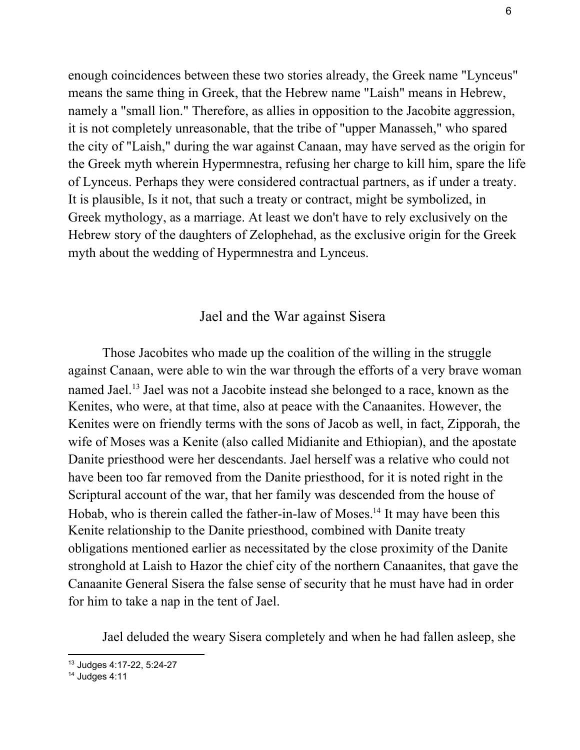enough coincidences between these two stories already, the Greek name "Lynceus" means the same thing in Greek, that the Hebrew name "Laish" means in Hebrew, namely a "small lion." Therefore, as allies in opposition to the Jacobite aggression, it is not completely unreasonable, that the tribe of "upper Manasseh," who spared the city of "Laish," during the war against Canaan, may have served as the origin for the Greek myth wherein Hypermnestra, refusing her charge to kill him, spare the life of Lynceus. Perhaps they were considered contractual partners, as if under a treaty. It is plausible, Is it not, that such a treaty or contract, might be symbolized, in Greek mythology, as a marriage. At least we don't have to rely exclusively on the Hebrew story of the daughters of Zelophehad, as the exclusive origin for the Greek myth about the wedding of Hypermnestra and Lynceus.

# Jael and the War against Sisera

Those Jacobites who made up the coalition of the willing in the struggle against Canaan, were able to win the war through the efforts of a very brave woman named Jael.<sup>13</sup> Jael was not a Jacobite instead she belonged to a race, known as the Kenites, who were, at that time, also at peace with the Canaanites. However, the Kenites were on friendly terms with the sons of Jacob as well, in fact, Zipporah, the wife of Moses was a Kenite (also called Midianite and Ethiopian), and the apostate Danite priesthood were her descendants. Jael herself was a relative who could not have been too far removed from the Danite priesthood, for it is noted right in the Scriptural account of the war, that her family was descended from the house of Hobab, who is therein called the father-in-law of Moses.<sup>14</sup> It may have been this Kenite relationship to the Danite priesthood, combined with Danite treaty obligations mentioned earlier as necessitated by the close proximity of the Danite stronghold at Laish to Hazor the chief city of the northern Canaanites, that gave the Canaanite General Sisera the false sense of security that he must have had in order for him to take a nap in the tent of Jael.

Jael deluded the weary Sisera completely and when he had fallen asleep, she

<sup>13</sup> Judges 4:17-22, 5:24-27

<sup>14</sup> Judges 4:11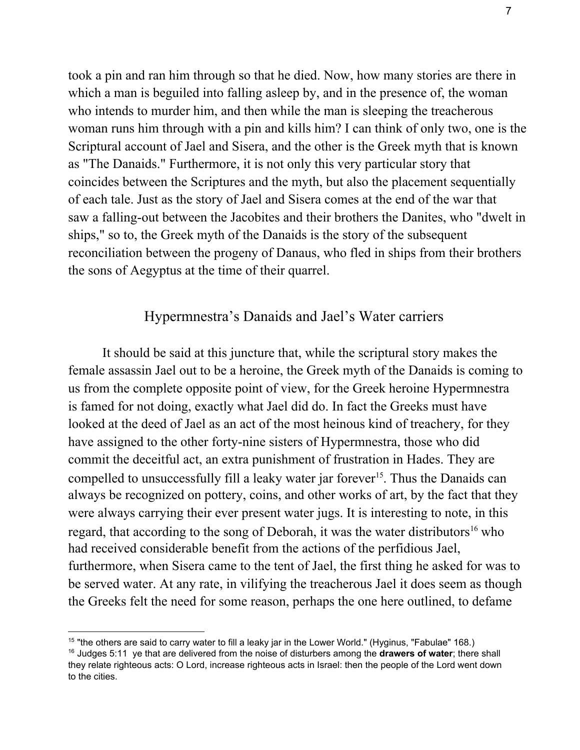took a pin and ran him through so that he died. Now, how many stories are there in which a man is beguiled into falling asleep by, and in the presence of, the woman who intends to murder him, and then while the man is sleeping the treacherous woman runs him through with a pin and kills him? I can think of only two, one is the Scriptural account of Jael and Sisera, and the other is the Greek myth that is known as "The Danaids." Furthermore, it is not only this very particular story that coincides between the Scriptures and the myth, but also the placement sequentially of each tale. Just as the story of Jael and Sisera comes at the end of the war that saw a falling-out between the Jacobites and their brothers the Danites, who "dwelt in ships," so to, the Greek myth of the Danaids is the story of the subsequent reconciliation between the progeny of Danaus, who fled in ships from their brothers the sons of Aegyptus at the time of their quarrel.

# Hypermnestra's Danaids and Jael's Water carriers

It should be said at this juncture that, while the scriptural story makes the female assassin Jael out to be a heroine, the Greek myth of the Danaids is coming to us from the complete opposite point of view, for the Greek heroine Hypermnestra is famed for not doing, exactly what Jael did do. In fact the Greeks must have looked at the deed of Jael as an act of the most heinous kind of treachery, for they have assigned to the other forty-nine sisters of Hypermnestra, those who did commit the deceitful act, an extra punishment of frustration in Hades. They are compelled to unsuccessfully fill a leaky water jar forever<sup>15</sup>. Thus the Danaids can always be recognized on pottery, coins, and other works of art, by the fact that they were always carrying their ever present water jugs. It is interesting to note, in this regard, that according to the song of Deborah, it was the water distributors<sup>16</sup> who had received considerable benefit from the actions of the perfidious Jael, furthermore, when Sisera came to the tent of Jael, the first thing he asked for was to be served water. At any rate, in vilifying the treacherous Jael it does seem as though the Greeks felt the need for some reason, perhaps the one here outlined, to defame

<sup>&</sup>lt;sup>15</sup> "the others are said to carry water to fill a leaky jar in the Lower World." (Hyginus, "Fabulae" 168.)

<sup>16</sup> Judges 5:11 ye that are delivered from the noise of disturbers among the **drawers of water**; there shall they relate righteous acts: O Lord, increase righteous acts in Israel: then the people of the Lord went down to the cities.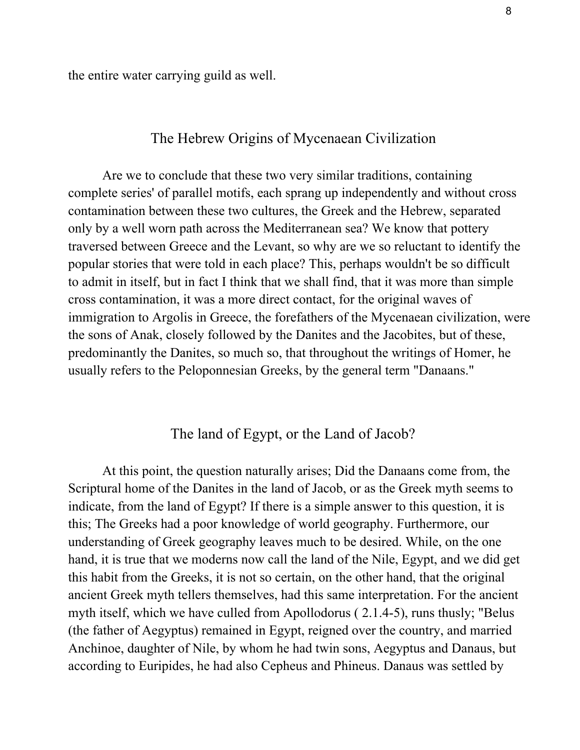the entire water carrying guild as well.

### The Hebrew Origins of Mycenaean Civilization

Are we to conclude that these two very similar traditions, containing complete series' of parallel motifs, each sprang up independently and without cross contamination between these two cultures, the Greek and the Hebrew, separated only by a well worn path across the Mediterranean sea? We know that pottery traversed between Greece and the Levant, so why are we so reluctant to identify the popular stories that were told in each place? This, perhaps wouldn't be so difficult to admit in itself, but in fact I think that we shall find, that it was more than simple cross contamination, it was a more direct contact, for the original waves of immigration to Argolis in Greece, the forefathers of the Mycenaean civilization, were the sons of Anak, closely followed by the Danites and the Jacobites, but of these, predominantly the Danites, so much so, that throughout the writings of Homer, he usually refers to the Peloponnesian Greeks, by the general term "Danaans."

## The land of Egypt, or the Land of Jacob?

At this point, the question naturally arises; Did the Danaans come from, the Scriptural home of the Danites in the land of Jacob, or as the Greek myth seems to indicate, from the land of Egypt? If there is a simple answer to this question, it is this; The Greeks had a poor knowledge of world geography. Furthermore, our understanding of Greek geography leaves much to be desired. While, on the one hand, it is true that we moderns now call the land of the Nile, Egypt, and we did get this habit from the Greeks, it is not so certain, on the other hand, that the original ancient Greek myth tellers themselves, had this same interpretation. For the ancient myth itself, which we have culled from Apollodorus ( 2.1.45), runs thusly; "Belus (the father of Aegyptus) remained in Egypt, reigned over the country, and married Anchinoe, daughter of Nile, by whom he had twin sons, Aegyptus and Danaus, but according to Euripides, he had also Cepheus and Phineus. Danaus was settled by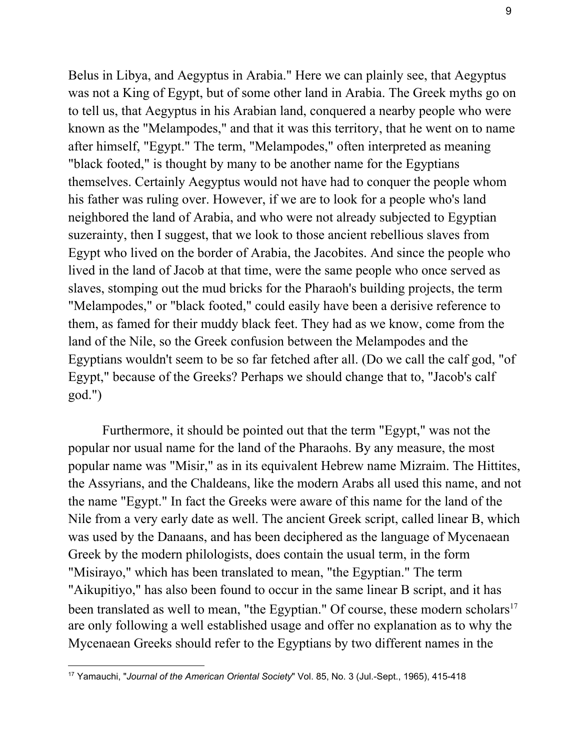Belus in Libya, and Aegyptus in Arabia." Here we can plainly see, that Aegyptus was not a King of Egypt, but of some other land in Arabia. The Greek myths go on to tell us, that Aegyptus in his Arabian land, conquered a nearby people who were known as the "Melampodes," and that it was this territory, that he went on to name after himself, "Egypt." The term, "Melampodes," often interpreted as meaning "black footed," is thought by many to be another name for the Egyptians themselves. Certainly Aegyptus would not have had to conquer the people whom his father was ruling over. However, if we are to look for a people who's land neighbored the land of Arabia, and who were not already subjected to Egyptian suzerainty, then I suggest, that we look to those ancient rebellious slaves from Egypt who lived on the border of Arabia, the Jacobites. And since the people who lived in the land of Jacob at that time, were the same people who once served as slaves, stomping out the mud bricks for the Pharaoh's building projects, the term "Melampodes," or "black footed," could easily have been a derisive reference to them, as famed for their muddy black feet. They had as we know, come from the land of the Nile, so the Greek confusion between the Melampodes and the Egyptians wouldn't seem to be so far fetched after all. (Do we call the calf god, "of Egypt," because of the Greeks? Perhaps we should change that to, "Jacob's calf god.")

Furthermore, it should be pointed out that the term "Egypt," was not the popular nor usual name for the land of the Pharaohs. By any measure, the most popular name was "Misir," as in its equivalent Hebrew name Mizraim. The Hittites, the Assyrians, and the Chaldeans, like the modern Arabs all used this name, and not the name "Egypt." In fact the Greeks were aware of this name for the land of the Nile from a very early date as well. The ancient Greek script, called linear B, which was used by the Danaans, and has been deciphered as the language of Mycenaean Greek by the modern philologists, does contain the usual term, in the form "Misirayo," which has been translated to mean, "the Egyptian." The term "Aikupitiyo," has also been found to occur in the same linear B script, and it has been translated as well to mean, "the Egyptian." Of course, these modern scholars<sup>17</sup> are only following a well established usage and offer no explanation as to why the Mycenaean Greeks should refer to the Egyptians by two different names in the

<sup>&</sup>lt;sup>17</sup> Yamauchi, "Journal of the American Oriental Society" Vol. 85, No. 3 (Jul.-Sept., 1965), 415-418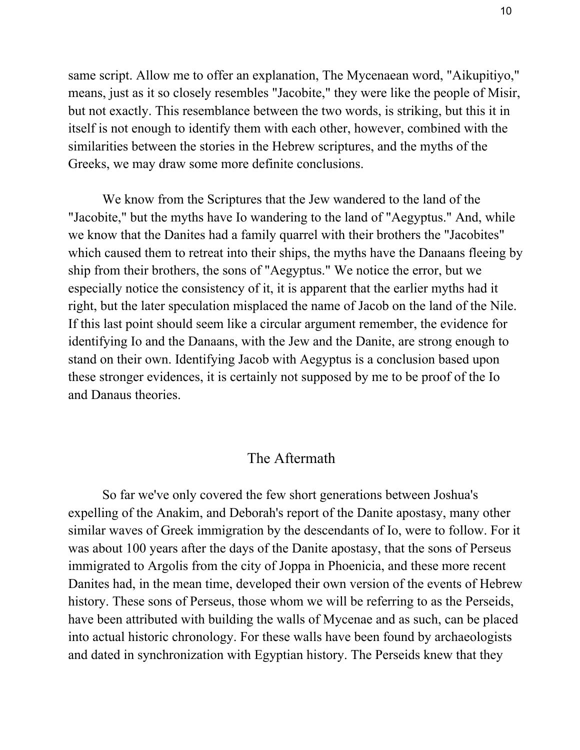same script. Allow me to offer an explanation, The Mycenaean word, "Aikupitiyo," means, just as it so closely resembles "Jacobite," they were like the people of Misir, but not exactly. This resemblance between the two words, is striking, but this it in itself is not enough to identify them with each other, however, combined with the similarities between the stories in the Hebrew scriptures, and the myths of the Greeks, we may draw some more definite conclusions.

We know from the Scriptures that the Jew wandered to the land of the "Jacobite," but the myths have Io wandering to the land of "Aegyptus." And, while we know that the Danites had a family quarrel with their brothers the "Jacobites" which caused them to retreat into their ships, the myths have the Danaans fleeing by ship from their brothers, the sons of "Aegyptus." We notice the error, but we especially notice the consistency of it, it is apparent that the earlier myths had it right, but the later speculation misplaced the name of Jacob on the land of the Nile. If this last point should seem like a circular argument remember, the evidence for identifying Io and the Danaans, with the Jew and the Danite, are strong enough to stand on their own. Identifying Jacob with Aegyptus is a conclusion based upon these stronger evidences, it is certainly not supposed by me to be proof of the Io and Danaus theories.

## The Aftermath

So far we've only covered the few short generations between Joshua's expelling of the Anakim, and Deborah's report of the Danite apostasy, many other similar waves of Greek immigration by the descendants of Io, were to follow. For it was about 100 years after the days of the Danite apostasy, that the sons of Perseus immigrated to Argolis from the city of Joppa in Phoenicia, and these more recent Danites had, in the mean time, developed their own version of the events of Hebrew history. These sons of Perseus, those whom we will be referring to as the Perseids, have been attributed with building the walls of Mycenae and as such, can be placed into actual historic chronology. For these walls have been found by archaeologists and dated in synchronization with Egyptian history. The Perseids knew that they